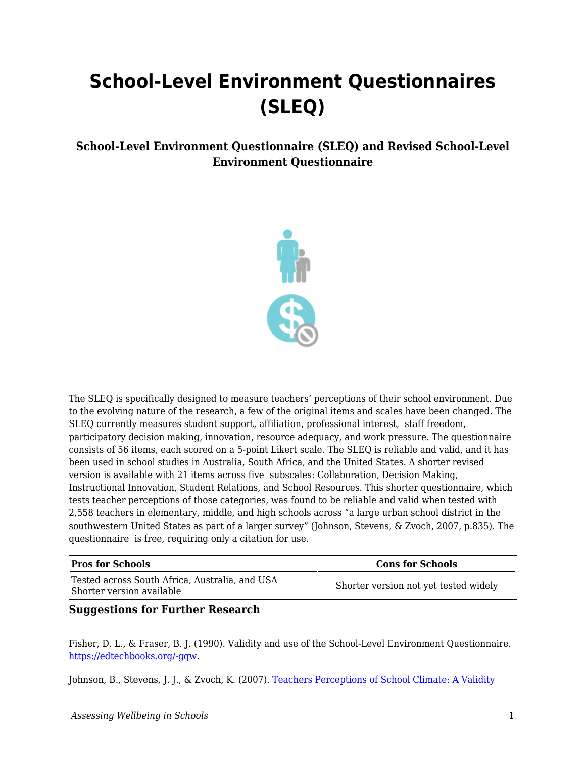## **School-Level Environment Questionnaires (SLEQ)**

## **School-Level Environment Questionnaire (SLEQ) and Revised School-Level Environment Questionnaire**



The SLEQ is specifically designed to measure teachers' perceptions of their school environment. Due to the evolving nature of the research, a few of the original items and scales have been changed. The SLEQ currently measures student support, affiliation, professional interest, staff freedom, participatory decision making, innovation, resource adequacy, and work pressure. The questionnaire consists of 56 items, each scored on a 5-point Likert scale. The SLEQ is reliable and valid, and it has been used in school studies in Australia, South Africa, and the United States. A shorter revised version is available with 21 items across five subscales: Collaboration, Decision Making, Instructional Innovation, Student Relations, and School Resources. This shorter questionnaire, which tests teacher perceptions of those categories, was found to be reliable and valid when tested with 2,558 teachers in elementary, middle, and high schools across "a large urban school district in the southwestern United States as part of a larger survey" (Johnson, Stevens, & Zvoch, 2007, p.835). The questionnaire is free, requiring only a citation for use.

| <b>Pros for Schools</b>                                                     | <b>Cons for Schools</b>               |
|-----------------------------------------------------------------------------|---------------------------------------|
| Tested across South Africa, Australia, and USA<br>Shorter version available | Shorter version not yet tested widely |

## **Suggestions for Further Research**

Fisher, D. L., & Fraser, B. J. (1990). Validity and use of the School-Level Environment Questionnaire. [https://edtechbooks.org/-gqw.](https://eric.ed.gov/?id=ED318757)

Johnson, B., Stevens, J. J., & Zvoch, K. (2007). [Teachers Perceptions of School Climate: A Validity](https://journals.sagepub.com/doi/10.1177/0013164406299102)